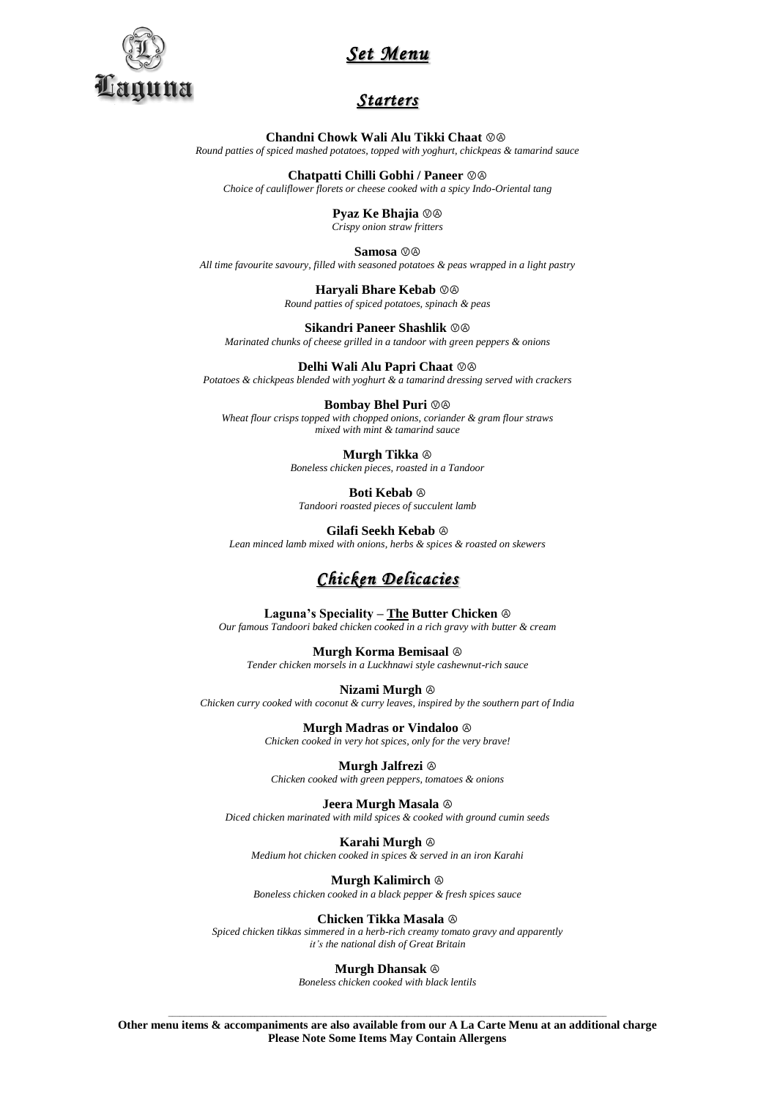

# *Set Menu*

### *Starters*

**Chandni Chowk Wali Alu Tikki Chaat**  $\oslash$ *Round patties of spiced mashed potatoes, topped with yoghurt, chickpeas & tamarind sauce*

**Chatpatti Chilli Gobhi / Paneer**  $\textcircled{}$ 

*Choice of cauliflower florets or cheese cooked with a spicy Indo-Oriental tang*

**Pyaz Ke Bhajia** ⓋⒶ *Crispy onion straw fritters*

Samosa  $\oslash \oslash$ *All time favourite savoury, filled with seasoned potatoes & peas wrapped in a light pastry*

> **Haryali Bhare Kebab**  $\circledcirc\circledcirc$ *Round patties of spiced potatoes, spinach & peas*

**Sikandri Paneer Shashlik ©** *Marinated chunks of cheese grilled in a tandoor with green peppers & onions*

**Delhi Wali Alu Papri Chaat**  $\oslash$ *Potatoes & chickpeas blended with yoghurt & a tamarind dressing served with crackers*

**Bombay Bhel Puri**  $\circledcirc$ *Wheat flour crisps topped with chopped onions, coriander & gram flour straws mixed with mint & tamarind sauce*

> **Murgh Tikka** Ⓐ *Boneless chicken pieces, roasted in a Tandoor*

**Boti Kebab** Ⓐ *Tandoori roasted pieces of succulent lamb*

**Gilafi Seekh Kebab** Ⓐ

*Lean minced lamb mixed with onions, herbs & spices & roasted on skewers*

# *Chicken Delicacies*

**Laguna's Speciality – The Butter Chicken** Ⓐ

*Our famous Tandoori baked chicken cooked in a rich gravy with butter & cream*

**Murgh Korma Bemisaal** Ⓐ *Tender chicken morsels in a Luckhnawi style cashewnut-rich sauce*

**Nizami Murgh** Ⓐ *Chicken curry cooked with coconut & curry leaves, inspired by the southern part of India*

> **Murgh Madras or Vindaloo** Ⓐ *Chicken cooked in very hot spices, only for the very brave!*

**Murgh Jalfrezi** Ⓐ *Chicken cooked with green peppers, tomatoes & onions*

**Jeera Murgh Masala** Ⓐ *Diced chicken marinated with mild spices & cooked with ground cumin seeds*

**Karahi Murgh** Ⓐ *Medium hot chicken cooked in spices & served in an iron Karahi*

**Murgh Kalimirch** Ⓐ *Boneless chicken cooked in a black pepper & fresh spices sauce*

**Chicken Tikka Masala** Ⓐ *Spiced chicken tikkas simmered in a herb-rich creamy tomato gravy and apparently it's the national dish of Great Britain*

**Murgh Dhansak** Ⓐ

*Boneless chicken cooked with black lentils*

\_\_\_\_\_\_\_\_\_\_\_\_\_\_\_\_\_\_\_\_\_\_\_\_\_\_\_\_\_\_\_\_\_\_\_\_\_\_\_\_\_\_\_\_\_\_\_\_\_\_\_\_\_\_\_\_\_\_\_\_\_\_\_\_\_\_\_\_\_\_\_\_\_\_\_\_\_\_\_\_\_\_\_\_\_\_\_\_\_\_\_\_\_\_\_\_\_\_\_\_\_\_\_\_\_\_\_\_\_\_\_\_ **Other menu items & accompaniments are also available from our A La Carte Menu at an additional charge Please Note Some Items May Contain Allergens**